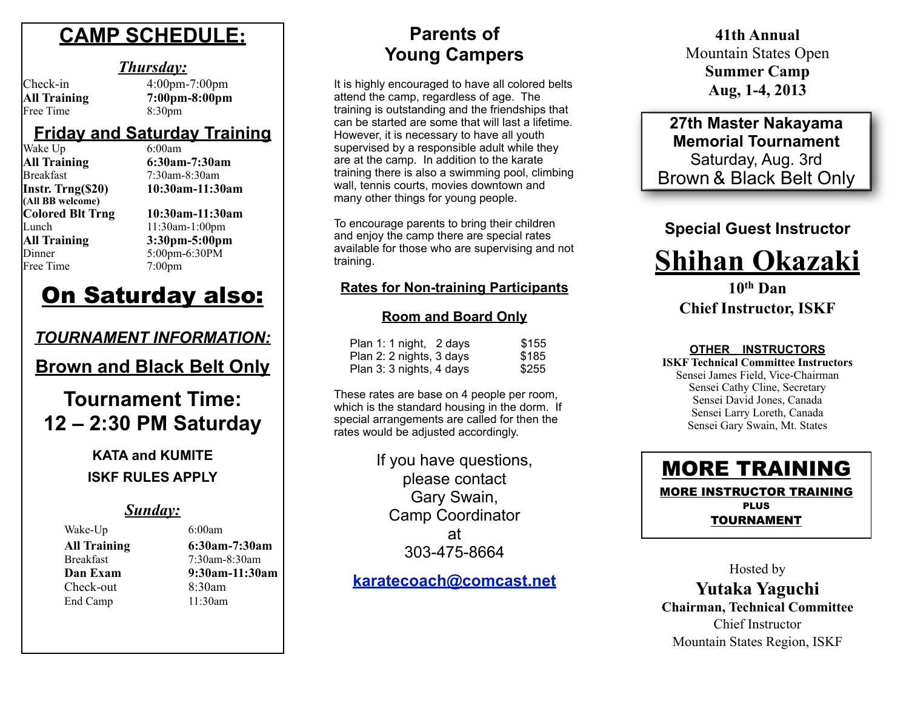## **CAMP SCHEDULE:**

#### *Thursday:*

# Free Time 8:30pm

Check-in 4:00pm-7:00pm **All Training 7:00pm-8:00pm**

#### **Friday and Saturday Training**

| Wake Up                 |
|-------------------------|
| <b>All Training</b>     |
| <b>Breakfast</b>        |
| Instr. Trng(\$20)       |
| (All BB welcome)        |
| <b>Colored Blt Trng</b> |
| Lunch                   |
| <b>All Training</b>     |
| Dinner                  |
| Free Time               |

 $6:00$ am **All Training 6:30am-7:30am**  $7.30$ am-8:30am **Instr. Trng(\$20) 10:30am-11:30am Colored Blt Trng 10:30am-11:30am** 11:30am-1:00pm **All Training 3:30pm-5:00pm** 5:00pm-6:30PM  $7:00$ pm

## On Saturday also:

## *TOURNAMENT INFORMATION:*

**Brown and Black Belt Only**

## **Tournament Time: 12 – 2:30 PM Saturday**

**KATA and KUMITE ISKF RULES APPLY**

### *Sunday:*

Wake-Up 6:00am

#### **All Training 6:30am-7:30am** Breakfast 7:30am-8:30am **Dan Exam 9:30am-11:30am** Check-out 8:30am End Camp 11:30am

## **Parents of Young Campers**

It is highly encouraged to have all colored belts attend the camp, regardless of age. The training is outstanding and the friendships that can be started are some that will last a lifetime. However, it is necessary to have all youth supervised by a responsible adult while they are at the camp. In addition to the karate training there is also a swimming pool, climbing wall, tennis courts, movies downtown and many other things for young people.

To encourage parents to bring their children and enjoy the camp there are special rates available for those who are supervising and not training.

#### **Rates for Non-training Participants**

#### **Room and Board Only**

| Plan 1: 1 night, 2 days  | \$155 |
|--------------------------|-------|
| Plan 2: 2 nights, 3 days | \$185 |
| Plan 3: 3 nights, 4 days | \$255 |

These rates are base on 4 people per room, which is the standard housing in the dorm. If special arrangements are called for then the rates would be adjusted accordingly.

> If you have questions, please contact Gary Swain, Camp Coordinator at 303-475-8664

**[karatecoach@comcast.net](mailto:karatecoach@comcast.net)**

**41th Annual**  Mountain States Open **Summer Camp Aug, 1-4, 2013**

**27th Master Nakayama Memorial Tournament** Saturday, Aug. 3rd Brown & Black Belt Only

#### **Special Guest Instructor**



#### **10th Dan Chief Instructor, ISKF**

#### **OTHER INSTRUCTORS**

**ISKF Technical Committee Instructors** Sensei James Field, Vice-Chairman Sensei Cathy Cline, Secretary Sensei David Jones, Canada Sensei Larry Loreth, Canada Sensei Gary Swain, Mt. States



Hosted by **Yutaka Yaguchi Chairman, Technical Committee** Chief Instructor Mountain States Region, ISKF